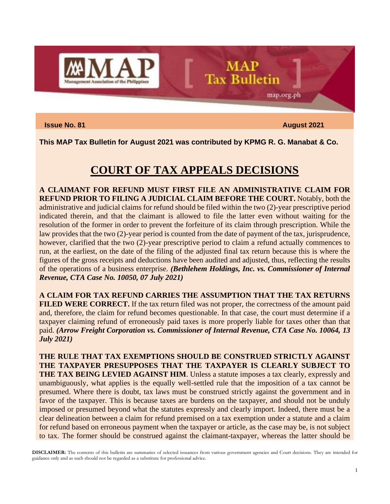

**Issue No. 81** August 2021

map.org.ph

**This MAP Tax Bulletin for August 2021 was contributed by KPMG R. G. Manabat & Co.**

#### **COURT OF TAX APPEALS DECISIONS**

**MAP Tax Bulletin** 

**A CLAIMANT FOR REFUND MUST FIRST FILE AN ADMINISTRATIVE CLAIM FOR REFUND PRIOR TO FILING A JUDICIAL CLAIM BEFORE THE COURT.** Notably, both the administrative and judicial claims for refund should be filed within the two (2)-year prescriptive period indicated therein, and that the claimant is allowed to file the latter even without waiting for the resolution of the former in order to prevent the forfeiture of its claim through prescription. While the law provides that the two (2)-year period is counted from the date of payment of the tax, jurisprudence, however, clarified that the two (2)-year prescriptive period to claim a refund actually commences to run, at the earliest, on the date of the filing of the adjusted final tax return because this is where the figures of the gross receipts and deductions have been audited and adjusted, thus, reflecting the results of the operations of a business enterprise. *(Bethlehem Holdings, Inc. vs. Commissioner of Internal Revenue, CTA Case No. 10050, 07 July 2021)*

**A CLAIM FOR TAX REFUND CARRIES THE ASSUMPTION THAT THE TAX RETURNS FILED WERE CORRECT.** If the tax return filed was not proper, the correctness of the amount paid and, therefore, the claim for refund becomes questionable. In that case, the court must determine if a taxpayer claiming refund of erroneously paid taxes is more properly liable for taxes other than that paid. *(Arrow Freight Corporation vs. Commissioner of Internal Revenue, CTA Case No. 10064, 13 July 2021)*

**THE RULE THAT TAX EXEMPTIONS SHOULD BE CONSTRUED STRICTLY AGAINST THE TAXPAYER PRESUPPOSES THAT THE TAXPAYER IS CLEARLY SUBJECT TO THE TAX BEING LEVIED AGAINST HIM**. Unless a statute imposes a tax clearly, expressly and unambiguously, what applies is the equally well-settled rule that the imposition of a tax cannot be presumed. Where there is doubt, tax laws must be construed strictly against the government and in favor of the taxpayer. This is because taxes are burdens on the taxpayer, and should not be unduly imposed or presumed beyond what the statutes expressly and clearly import. Indeed, there must be a clear delineation between a claim for refund premised on a tax exemption under a statute and a claim for refund based on erroneous payment when the taxpayer or article, as the case may be, is not subject to tax. The former should be construed against the claimant-taxpayer, whereas the latter should be

**DISCLAIMER:** The contents of this bulletin are summaries of selected issuances from various government agencies and Court decisions. They are intended for guidance only and as such should not be regarded as a substitute for professional advice.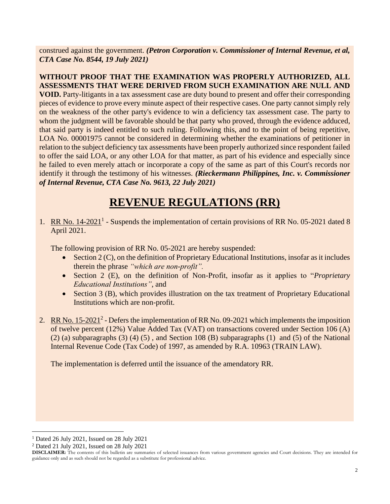construed against the government. *(Petron Corporation v. Commissioner of Internal Revenue, et al, CTA Case No. 8544, 19 July 2021)*

**WITHOUT PROOF THAT THE EXAMINATION WAS PROPERLY AUTHORIZED, ALL ASSESSMENTS THAT WERE DERIVED FROM SUCH EXAMINATION ARE NULL AND VOID.** Party-litigants in a tax assessment case are duty bound to present and offer their corresponding pieces of evidence to prove every minute aspect of their respective cases. One party cannot simply rely on the weakness of the other party's evidence to win a deficiency tax assessment case. The party to whom the judgment will be favorable should be that party who proved, through the evidence adduced, that said party is indeed entitled to such ruling. Following this, and to the point of being repetitive, LOA No. 00001975 cannot be considered in determining whether the examinations of petitioner in relation to the subject deficiency tax assessments have been properly authorized since respondent failed to offer the said LOA, or any other LOA for that matter, as part of his evidence and especially since he failed to even merely attach or incorporate a copy of the same as part of this Court's records nor identify it through the testimony of his witnesses. *(Rieckermann Philippines, Inc. v. Commissioner of Internal Revenue, CTA Case No. 9613, 22 July 2021)*

# **REVENUE REGULATIONS (RR)**

1. RR No.  $14-2021$ <sup>1</sup> - Suspends the implementation of certain provisions of RR No. 05-2021 dated 8 April 2021.

The following provision of RR No. 05-2021 are hereby suspended:

- Section 2 (C), on the definition of Proprietary Educational Institutions, insofar as it includes therein the phrase *"which are non-profit".*
- Section 2 (E), on the definition of Non-Profit, insofar as it applies to "*Proprietary Educational Institutions"*, and
- Section 3 (B), which provides illustration on the tax treatment of Proprietary Educational Institutions which are non-profit.
- 2. RR No.  $15\text{-}2021^2$  Defers the implementation of RR No. 09-2021 which implements the imposition of twelve percent (12%) Value Added Tax (VAT) on transactions covered under Section 106 (A) (2) (a) subparagraphs (3) (4) (5) , and Section 108 (B) subparagraphs (1) and (5) of the National Internal Revenue Code (Tax Code) of 1997, as amended by R.A. 10963 (TRAIN LAW).

The implementation is deferred until the issuance of the amendatory RR.

 $1$  Dated 26 July 2021, Issued on 28 July 2021

 $2^2$  Dated 21 July 2021, Issued on 28 July 2021

**DISCLAIMER:** The contents of this bulletin are summaries of selected issuances from various government agencies and Court decisions. They are intended for guidance only and as such should not be regarded as a substitute for professional advice.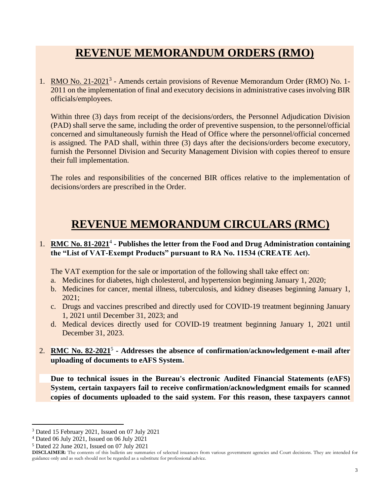## **REVENUE MEMORANDUM ORDERS (RMO)**

1. RMO No. 21-2021<sup>3</sup> - Amends certain provisions of Revenue Memorandum Order (RMO) No. 1-2011 on the implementation of final and executory decisions in administrative cases involving BIR officials/employees.

Within three (3) days from receipt of the decisions/orders, the Personnel Adjudication Division (PAD) shall serve the same, including the order of preventive suspension, to the personnel/official concerned and simultaneously furnish the Head of Office where the personnel/official concerned is assigned. The PAD shall, within three (3) days after the decisions/orders become executory, furnish the Personnel Division and Security Management Division with copies thereof to ensure their full implementation.

The roles and responsibilities of the concerned BIR offices relative to the implementation of decisions/orders are prescribed in the Order.

### **REVENUE MEMORANDUM CIRCULARS (RMC)**

#### 1. RMC No. 81-2021<sup>4</sup> - Publishes the letter from the Food and Drug Administration containing **the "List of VAT-Exempt Products" pursuant to RA No. 11534 (CREATE Act).**

The VAT exemption for the sale or importation of the following shall take effect on:

- a. Medicines for diabetes, high cholesterol, and hypertension beginning January 1, 2020;
- b. Medicines for cancer, mental illness, tuberculosis, and kidney diseases beginning January 1, 2021;
- c. Drugs and vaccines prescribed and directly used for COVID-19 treatment beginning January 1, 2021 until December 31, 2023; and
- d. Medical devices directly used for COVID-19 treatment beginning January 1, 2021 until December 31, 2023.
- 2. **RMC No. 82-2021**<sup>5</sup> **- Addresses the absence of confirmation/acknowledgement e-mail after uploading of documents to eAFS System.**

**Due to technical issues in the Bureau's electronic Audited Financial Statements (eAFS) System, certain taxpayers fail to receive confirmation/acknowledgment emails for scanned copies of documents uploaded to the said system. For this reason, these taxpayers cannot** 

<sup>3</sup> Dated 15 February 2021, Issued on 07 July 2021

<sup>4</sup> Dated 06 July 2021, Issued on 06 July 2021

<sup>5</sup> Dated 22 June 2021, Issued on 07 July 2021

**DISCLAIMER:** The contents of this bulletin are summaries of selected issuances from various government agencies and Court decisions. They are intended for guidance only and as such should not be regarded as a substitute for professional advice.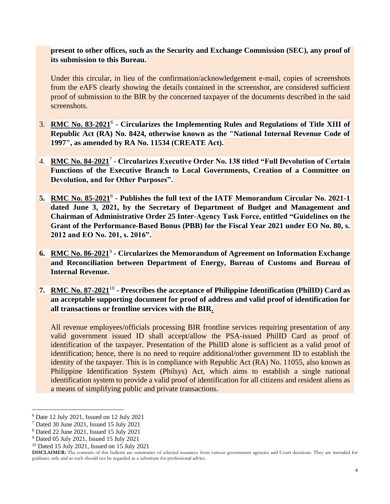**present to other offices, such as the Security and Exchange Commission (SEC), any proof of its submission to this Bureau.**

Under this circular, in lieu of the confirmation/acknowledgement e-mail, copies of screenshots from the eAFS clearly showing the details contained in the screenshot, are considered sufficient proof of submission to the BIR by the concerned taxpayer of the documents described in the said screenshots.

- 3. **RMC No. 83-2021**<sup>6</sup> **- Circularizes the Implementing Rules and Regulations of Title XIII of Republic Act (RA) No. 8424, otherwise known as the "National Internal Revenue Code of 1997", as amended by RA No. 11534 (CREATE Act).**
- 4. **RMC No. 84-2021**<sup>7</sup> **- Circularizes Executive Order No. 138 titled "Full Devolution of Certain Functions of the Executive Branch to Local Governments, Creation of a Committee on Devolution, and for Other Purposes".**
- 5. RMC No. 85-2021<sup>8</sup> Publishes the full text of the IATF Memorandum Circular No. 2021-1 **dated June 3, 2021, by the Secretary of Department of Budget and Management and Chairman of Administrative Order 25 Inter-Agency Task Force, entitled "Guidelines on the Grant of the Performance-Based Bonus (PBB) for the Fiscal Year 2021 under EO No. 80, s. 2012 and EO No. 201, s. 2016".**
- **6. RMC No. 86-2021**<sup>9</sup> **- Circularizes the Memorandum of Agreement on Information Exchange and Reconciliation between Department of Energy, Bureau of Customs and Bureau of Internal Revenue.**
- **7. RMC No. 87-2021**<sup>10</sup> **- Prescribes the acceptance of Philippine Identification (PhilID) Card as an acceptable supporting document for proof of address and valid proof of identification for all transactions or frontline services with the BIR.**

All revenue employees/officials processing BIR frontline services requiring presentation of any valid government issued ID shall accept/allow the PSA-issued PhilID Card as proof of identification of the taxpayer. Presentation of the PhilID alone is sufficient as a valid proof of identification; hence, there is no need to require additional/other government ID to establish the identity of the taxpayer. This is in compliance with Republic Act (RA) No. 11055, also known as Philippine Identification System (Philsys) Act, which aims to establish a single national identification system to provide a valid proof of identification for all citizens and resident aliens as a means of simplifying public and private transactions.

<sup>6</sup> Date 12 July 2021, Issued on 12 July 2021

<sup>7</sup> Dated 30 June 2021, Issued 15 July 2021

<sup>8</sup> Dated 22 June 2021, Issued 15 July 2021

<sup>9</sup> Dated 05 July 2021, Issued 15 July 2021

<sup>10</sup> Dated 15 July 2021, Issued on 15 July 2021

**DISCLAIMER:** The contents of this bulletin are summaries of selected issuances from various government agencies and Court decisions. They are intended for guidance only and as such should not be regarded as a substitute for professional advice.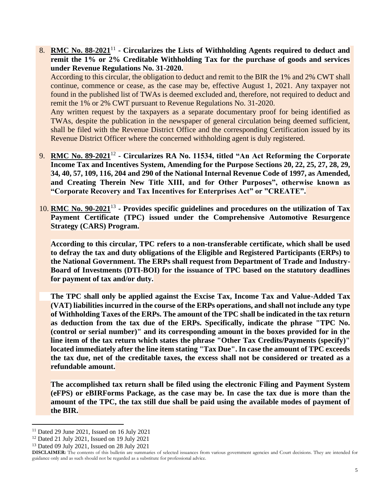8. RMC No. 88-2021<sup>11</sup> - Circularizes the Lists of Withholding Agents required to deduct and **remit the 1% or 2% Creditable Withholding Tax for the purchase of goods and services under Revenue Regulations No. 31-2020.**

According to this circular, the obligation to deduct and remit to the BIR the 1% and 2% CWT shall continue, commence or cease, as the case may be, effective August 1, 2021. Any taxpayer not found in the published list of TWAs is deemed excluded and, therefore, not required to deduct and remit the 1% or 2% CWT pursuant to Revenue Regulations No. 31-2020.

Any written request by the taxpayers as a separate documentary proof for being identified as TWAs, despite the publication in the newspaper of general circulation being deemed sufficient, shall be filed with the Revenue District Office and the corresponding Certification issued by its Revenue District Officer where the concerned withholding agent is duly registered.

- 9. **RMC No. 89-2021**<sup>12</sup> **- Circularizes RA No. 11534, titled "An Act Reforming the Corporate Income Tax and Incentives System, Amending for the Purpose Sections 20, 22, 25, 27, 28, 29, 34, 40, 57, 109, 116, 204 and 290 of the National Internal Revenue Code of 1997, as Amended, and Creating Therein New Title XIII, and for Other Purposes", otherwise known as "Corporate Recovery and Tax Incentives for Enterprises Act" or "CREATE".**
- 10. **RMC No. 90-2021**<sup>13</sup> **- Provides specific guidelines and procedures on the utilization of Tax Payment Certificate (TPC) issued under the Comprehensive Automotive Resurgence Strategy (CARS) Program.**

**According to this circular, TPC refers to a non-transferable certificate, which shall be used to defray the tax and duty obligations of the Eligible and Registered Participants (ERPs) to the National Government. The ERPs shall request from Department of Trade and Industry-Board of Investments (DTI-BOI) for the issuance of TPC based on the statutory deadlines for payment of tax and/or duty.**

**The TPC shall only be applied against the Excise Tax, Income Tax and Value-Added Tax (VAT) liabilities incurred in the course of the ERPs operations, and shall not include any type of Withholding Taxes of the ERPs. The amount of the TPC shall be indicated in the tax return as deduction from the tax due of the ERPs. Specifically, indicate the phrase "TPC No. (control or serial number)" and its corresponding amount in the boxes provided for in the line item of the tax return which states the phrase "Other Tax Credits/Payments (specify)" located immediately after the line item stating "Tax Due". In case the amount of TPC exceeds the tax due, net of the creditable taxes, the excess shall not be considered or treated as a refundable amount.**

**The accomplished tax return shall be filed using the electronic Filing and Payment System (eFPS) or eBIRForms Package, as the case may be. In case the tax due is more than the amount of the TPC, the tax still due shall be paid using the available modes of payment of the BIR.**

 $11$  Dated 29 June 2021, Issued on 16 July 2021

<sup>12</sup> Dated 21 July 2021, Issued on 19 July 2021

<sup>13</sup> Dated 09 July 2021, Issued on 28 July 2021

**DISCLAIMER:** The contents of this bulletin are summaries of selected issuances from various government agencies and Court decisions. They are intended for guidance only and as such should not be regarded as a substitute for professional advice.